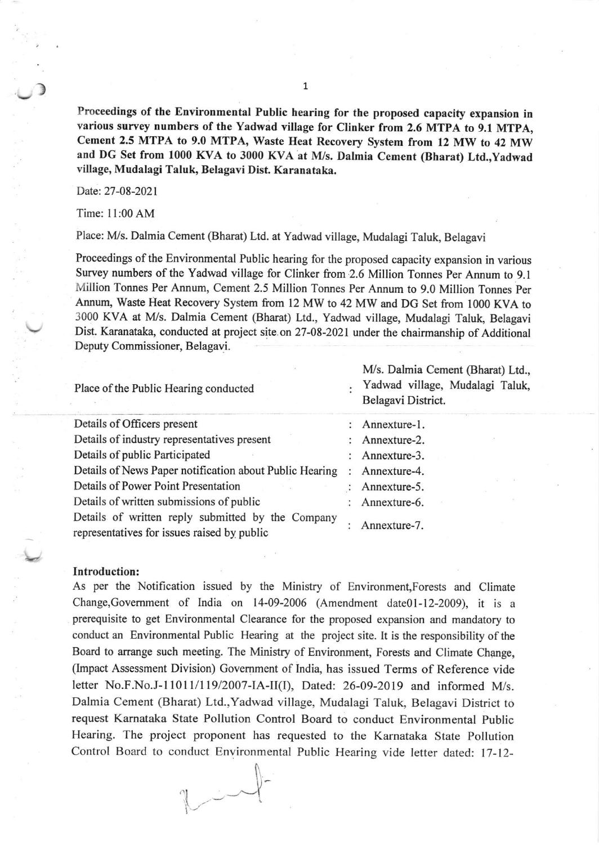Proceedings of the Environmental Public hearing for the proposed capacity expansion in various survey numbers of the Yadwad village for Clinker from 2.6 MTPA to 9.1 MTpA, Cement 2.5 MTPA to 9.0 MTPA, Waste Heat Recovery System from 12 MW to 42 MW and DG Set from 1000 KVA to 3000 KVA at M/s. Dalmia Cement (Bharat) Ltd., Yadwad village, Mudalagi Taluk, Belagavi Dist. Karanataka.

Date:27-08-2021

)

Time: I l:00 AM

Place: M/s. Dalmia Cement (Bharat) Ltd. at Yadwad village, Mudalagi Taluk, Belagavi

Proceedings of the Environmental Public hearing for the proposed capacity expansion in various Survey numbers of the Yadwad village for clinker from 2.6 Million Tonnes per Annum to 9.1 Million Tonnes Per Annum, cement 2.5 Million Tonnes Per Annum to 9.0 Million Tonnes per Annum, Waste Fleat Recovery System from 12 MW to 42 MW and DG Set from 1000 KVA to 3000 KVA at M/s. Dalmia Cement (Bharat) Ltd., Yadwad village, Mudalagi Taluk, Belagavi Dist. Karanataka, conducted at project site.on 27-08-2021 under the chairmanship of Additional Deputy Commissioner, Belagavi.

| Place of the Public Hearing conducted                                                            | M/s. Dalmia Cement (Bharat) Ltd.,<br>Yadwad village, Mudalagi Taluk,<br>Belagavi District. |
|--------------------------------------------------------------------------------------------------|--------------------------------------------------------------------------------------------|
| Details of Officers present                                                                      | : Annexture-1.                                                                             |
| Details of industry representatives present                                                      | : Annexture-2.                                                                             |
| Details of public Participated                                                                   | Annexture-3.                                                                               |
| Details of News Paper notification about Public Hearing                                          | Annexture-4.                                                                               |
| Details of Power Point Presentation                                                              | Annexture-5.                                                                               |
| Details of written submissions of public                                                         | Annexture-6.                                                                               |
| Details of written reply submitted by the Company<br>representatives for issues raised by public | Annexture-7.                                                                               |

## Introduction:

As per the Notification issued by the Ministry of Environment,Forests and Climate Change, Government of India on  $14-09-2006$  (Amendment date $01-12-2009$ ), it is a prerequisite to get Environmental Clearance for the proposed expansion and mandatory to conduct an Environmental Public Hearing at the project site. It is the responsibility of the Board to arrange such meeting. The Ministry of Environment, Forests and Climate Change, (Impact Assessment Division) Govemment of India, has issued Terms of Reference vide letter No.F.No.J-11011/119/2007-IA-II(I), Dated: 26-09-2019 and informed M/s. Dalmia Cement (Bharat) Ltd.,Yadwad village, Mudalagi Taluk, Belagavi District to request Kamataka State Pollution Control Board to conduct Environmental Public Hearing. The project proponent has requested to the Karnataka State Pollution Control Board to conduct Environmental Public Hearing vide letter dated: 17-12-

I  $\sim$ 

 $\sqrt{2}$